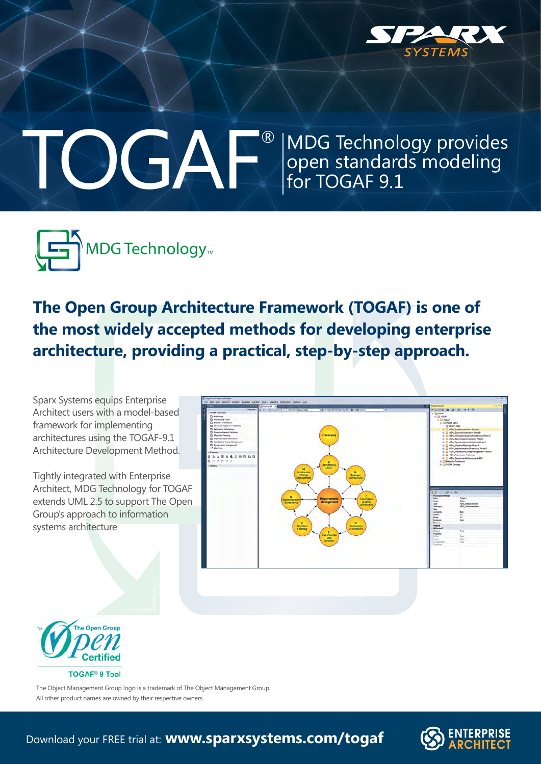

open standards modeling

for TOGAF 9.1

### TOGAF<sup>®</sup> MDG Technology provides<br>for TOGAF 9.1 ®



**The Open Group Architecture Framework (TOGAF) is one of the most widely accepted methods for developing enterprise architecture, providing a practical, step-by-step approach.** 

Sparx Systems equips Enterprise Architect users with a model-based framework for implementing architectures using the TOGAF-9.1 Architecture Development Method.

Tightly integrated with Enterprise Architect, MDG Technology for TOGAF extends UML 2.5 to support The Open Group's approach to information systems architecture





The Object Management Group logo is a trademark of The Object Management Group. All other product names are owned by their respective owners.

Download your FREE trial at: **www.sparxsystems.com/togaf**